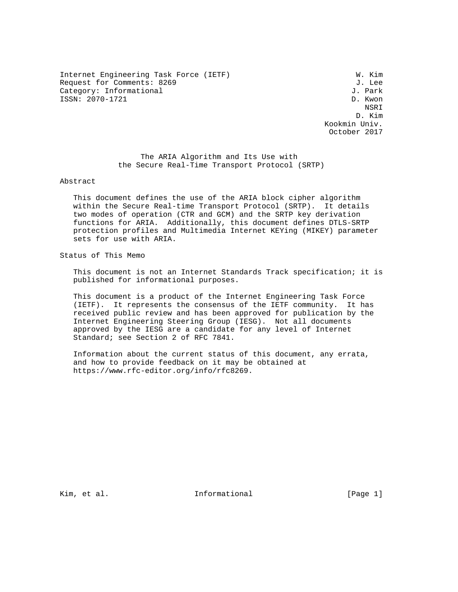Internet Engineering Task Force (IETF) W. Kim Request for Comments: 8269 J. Lee<br>Category: Informational J. Park Category: Informational ISSN: 2070-1721 D. Kwon

nsk konstantiner i den større og store i den større og store i den større og store i den større og store i den D. Kim Kookmin Univ. October 2017

> The ARIA Algorithm and Its Use with the Secure Real-Time Transport Protocol (SRTP)

Abstract

 This document defines the use of the ARIA block cipher algorithm within the Secure Real-time Transport Protocol (SRTP). It details two modes of operation (CTR and GCM) and the SRTP key derivation functions for ARIA. Additionally, this document defines DTLS-SRTP protection profiles and Multimedia Internet KEYing (MIKEY) parameter sets for use with ARIA.

Status of This Memo

 This document is not an Internet Standards Track specification; it is published for informational purposes.

 This document is a product of the Internet Engineering Task Force (IETF). It represents the consensus of the IETF community. It has received public review and has been approved for publication by the Internet Engineering Steering Group (IESG). Not all documents approved by the IESG are a candidate for any level of Internet Standard; see Section 2 of RFC 7841.

 Information about the current status of this document, any errata, and how to provide feedback on it may be obtained at https://www.rfc-editor.org/info/rfc8269.

Kim, et al. Informational [Page 1]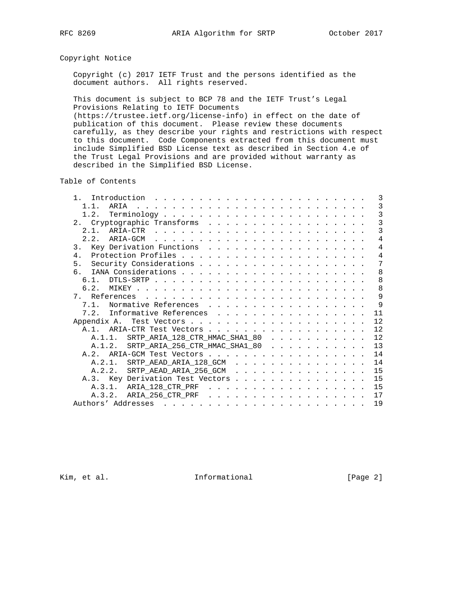# Copyright Notice

 Copyright (c) 2017 IETF Trust and the persons identified as the document authors. All rights reserved.

 This document is subject to BCP 78 and the IETF Trust's Legal Provisions Relating to IETF Documents (https://trustee.ietf.org/license-info) in effect on the date of publication of this document. Please review these documents

 carefully, as they describe your rights and restrictions with respect to this document. Code Components extracted from this document must include Simplified BSD License text as described in Section 4.e of the Trust Legal Provisions and are provided without warranty as described in the Simplified BSD License.

Table of Contents

|  |  |  |  |  |  |  | 3                                                                                                                                                                                                                                                                                                                                                                |
|--|--|--|--|--|--|--|------------------------------------------------------------------------------------------------------------------------------------------------------------------------------------------------------------------------------------------------------------------------------------------------------------------------------------------------------------------|
|  |  |  |  |  |  |  | 3                                                                                                                                                                                                                                                                                                                                                                |
|  |  |  |  |  |  |  | $\overline{3}$                                                                                                                                                                                                                                                                                                                                                   |
|  |  |  |  |  |  |  | $\overline{3}$                                                                                                                                                                                                                                                                                                                                                   |
|  |  |  |  |  |  |  | $\overline{3}$                                                                                                                                                                                                                                                                                                                                                   |
|  |  |  |  |  |  |  | $\overline{4}$                                                                                                                                                                                                                                                                                                                                                   |
|  |  |  |  |  |  |  | $\overline{4}$                                                                                                                                                                                                                                                                                                                                                   |
|  |  |  |  |  |  |  | $\overline{4}$                                                                                                                                                                                                                                                                                                                                                   |
|  |  |  |  |  |  |  | 7                                                                                                                                                                                                                                                                                                                                                                |
|  |  |  |  |  |  |  | 8                                                                                                                                                                                                                                                                                                                                                                |
|  |  |  |  |  |  |  | 8                                                                                                                                                                                                                                                                                                                                                                |
|  |  |  |  |  |  |  | 8                                                                                                                                                                                                                                                                                                                                                                |
|  |  |  |  |  |  |  | 9                                                                                                                                                                                                                                                                                                                                                                |
|  |  |  |  |  |  |  | 9                                                                                                                                                                                                                                                                                                                                                                |
|  |  |  |  |  |  |  | 11                                                                                                                                                                                                                                                                                                                                                               |
|  |  |  |  |  |  |  | 12                                                                                                                                                                                                                                                                                                                                                               |
|  |  |  |  |  |  |  | 12                                                                                                                                                                                                                                                                                                                                                               |
|  |  |  |  |  |  |  | 12                                                                                                                                                                                                                                                                                                                                                               |
|  |  |  |  |  |  |  | 13                                                                                                                                                                                                                                                                                                                                                               |
|  |  |  |  |  |  |  | 14                                                                                                                                                                                                                                                                                                                                                               |
|  |  |  |  |  |  |  | 14                                                                                                                                                                                                                                                                                                                                                               |
|  |  |  |  |  |  |  | 15                                                                                                                                                                                                                                                                                                                                                               |
|  |  |  |  |  |  |  | 15                                                                                                                                                                                                                                                                                                                                                               |
|  |  |  |  |  |  |  | 15                                                                                                                                                                                                                                                                                                                                                               |
|  |  |  |  |  |  |  | 17                                                                                                                                                                                                                                                                                                                                                               |
|  |  |  |  |  |  |  | 19                                                                                                                                                                                                                                                                                                                                                               |
|  |  |  |  |  |  |  | Key Derivation Functions<br>7.1. Normative References<br>7.2. Informative References<br>A.1. ARIA-CTR Test Vectors<br>A.1.1. SRTP_ARIA_128_CTR_HMAC_SHA1_80<br>A.1.2. SRTP_ARIA_256_CTR_HMAC_SHA1_80<br>A.2.1. SRTP_AEAD_ARIA_128_GCM<br>A.2.2. SRTP_AEAD_ARIA_256_GCM<br>A.3. Key Derivation Test Vectors<br>A.3.1. ARIA_128_CTR_PRF<br>A.3.2. ARIA_256_CTR_PRF |

Kim, et al. 10. Informational 1. [Page 2]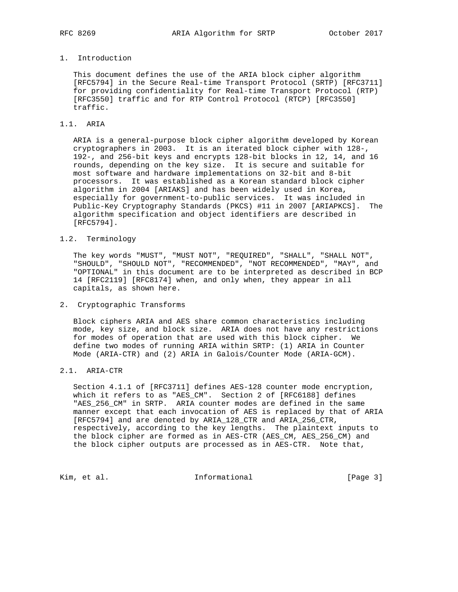# 1. Introduction

 This document defines the use of the ARIA block cipher algorithm [RFC5794] in the Secure Real-time Transport Protocol (SRTP) [RFC3711] for providing confidentiality for Real-time Transport Protocol (RTP) [RFC3550] traffic and for RTP Control Protocol (RTCP) [RFC3550] traffic.

### 1.1. ARIA

 ARIA is a general-purpose block cipher algorithm developed by Korean cryptographers in 2003. It is an iterated block cipher with 128-, 192-, and 256-bit keys and encrypts 128-bit blocks in 12, 14, and 16 rounds, depending on the key size. It is secure and suitable for most software and hardware implementations on 32-bit and 8-bit processors. It was established as a Korean standard block cipher algorithm in 2004 [ARIAKS] and has been widely used in Korea, especially for government-to-public services. It was included in Public-Key Cryptography Standards (PKCS) #11 in 2007 [ARIAPKCS]. The algorithm specification and object identifiers are described in [RFC5794].

## 1.2. Terminology

 The key words "MUST", "MUST NOT", "REQUIRED", "SHALL", "SHALL NOT", "SHOULD", "SHOULD NOT", "RECOMMENDED", "NOT RECOMMENDED", "MAY", and "OPTIONAL" in this document are to be interpreted as described in BCP 14 [RFC2119] [RFC8174] when, and only when, they appear in all capitals, as shown here.

#### 2. Cryptographic Transforms

 Block ciphers ARIA and AES share common characteristics including mode, key size, and block size. ARIA does not have any restrictions for modes of operation that are used with this block cipher. We define two modes of running ARIA within SRTP: (1) ARIA in Counter Mode (ARIA-CTR) and (2) ARIA in Galois/Counter Mode (ARIA-GCM).

# 2.1. ARIA-CTR

 Section 4.1.1 of [RFC3711] defines AES-128 counter mode encryption, which it refers to as "AES\_CM". Section 2 of [RFC6188] defines "AES\_256\_CM" in SRTP. ARIA counter modes are defined in the same manner except that each invocation of AES is replaced by that of ARIA [RFC5794] and are denoted by ARIA\_128\_CTR and ARIA\_256\_CTR, respectively, according to the key lengths. The plaintext inputs to the block cipher are formed as in AES-CTR (AES\_CM, AES\_256\_CM) and the block cipher outputs are processed as in AES-CTR. Note that,

Kim, et al. 10 1nformational 1965 [Page 3]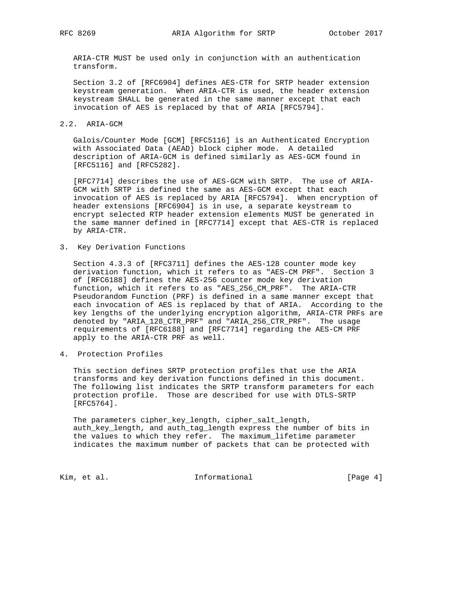ARIA-CTR MUST be used only in conjunction with an authentication transform.

 Section 3.2 of [RFC6904] defines AES-CTR for SRTP header extension keystream generation. When ARIA-CTR is used, the header extension keystream SHALL be generated in the same manner except that each invocation of AES is replaced by that of ARIA [RFC5794].

### 2.2. ARIA-GCM

 Galois/Counter Mode [GCM] [RFC5116] is an Authenticated Encryption with Associated Data (AEAD) block cipher mode. A detailed description of ARIA-GCM is defined similarly as AES-GCM found in [RFC5116] and [RFC5282].

 [RFC7714] describes the use of AES-GCM with SRTP. The use of ARIA- GCM with SRTP is defined the same as AES-GCM except that each invocation of AES is replaced by ARIA [RFC5794]. When encryption of header extensions [RFC6904] is in use, a separate keystream to encrypt selected RTP header extension elements MUST be generated in the same manner defined in [RFC7714] except that AES-CTR is replaced by ARIA-CTR.

3. Key Derivation Functions

 Section 4.3.3 of [RFC3711] defines the AES-128 counter mode key derivation function, which it refers to as "AES-CM PRF". Section 3 of [RFC6188] defines the AES-256 counter mode key derivation function, which it refers to as "AES\_256\_CM\_PRF". The ARIA-CTR Pseudorandom Function (PRF) is defined in a same manner except that each invocation of AES is replaced by that of ARIA. According to the key lengths of the underlying encryption algorithm, ARIA-CTR PRFs are denoted by "ARIA\_128\_CTR\_PRF" and "ARIA\_256\_CTR\_PRF". The usage requirements of [RFC6188] and [RFC7714] regarding the AES-CM PRF apply to the ARIA-CTR PRF as well.

4. Protection Profiles

 This section defines SRTP protection profiles that use the ARIA transforms and key derivation functions defined in this document. The following list indicates the SRTP transform parameters for each protection profile. Those are described for use with DTLS-SRTP [RFC5764].

 The parameters cipher\_key\_length, cipher\_salt\_length, auth\_key\_length, and auth\_tag\_length express the number of bits in the values to which they refer. The maximum\_lifetime parameter indicates the maximum number of packets that can be protected with

Kim, et al. 10 1nformational 1999 [Page 4]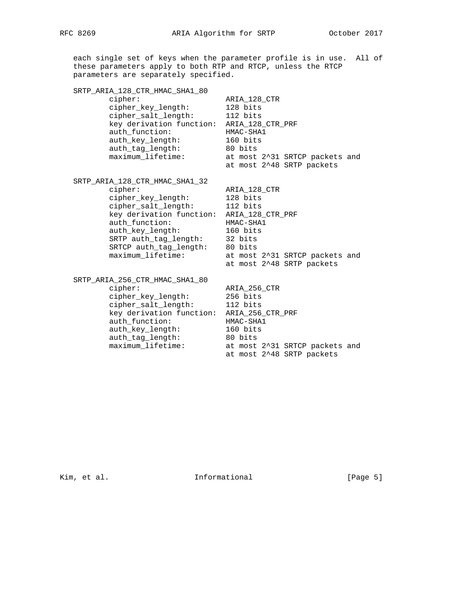each single set of keys when the parameter profile is in use. All of these parameters apply to both RTP and RTCP, unless the RTCP parameters are separately specified. SRTP\_ARIA\_128\_CTR\_HMAC\_SHA1\_80 cipher: ARIA\_128\_CTR cipher\_key\_length: 128 bits cipher\_salt\_length: 112 bits key derivation function: ARIA\_128\_CTR\_PRF auth\_function: HMAC-SHA1 auth\_key\_length: 160 bits auth\_tag\_length: 80 bits maximum\_lifetime: at most 2^31 SRTCP packets and at most 2^48 SRTP packets SRTP\_ARIA\_128\_CTR\_HMAC\_SHA1\_32 cipher: ARIA\_128\_CTR cipher\_key\_length: 128 bits cipher\_salt\_length: 112 bits key derivation function: ARIA\_128\_CTR\_PRF auth\_function: HMAC-SHA1 auth\_key\_length: 160 bits SRTP auth\_tag\_length: 32 bits SRTCP auth\_tag\_length: 80 bits maximum\_lifetime: at most 2^31 SRTCP packets and at most 2^48 SRTP packets SRTP\_ARIA\_256\_CTR\_HMAC\_SHA1\_80 cipher: ARIA\_256\_CTR cipher\_key\_length: 256 bits cipher\_salt\_length: 112 bits key derivation function: ARIA\_256\_CTR\_PRF auth\_function: HMAC-SHA1 auth\_key\_length: 160 bits auth\_tag\_length: 80 bits maximum\_lifetime: at most 2^31 SRTCP packets and at most 2^48 SRTP packets

Kim, et al. 10 1nformational 1999 [Page 5]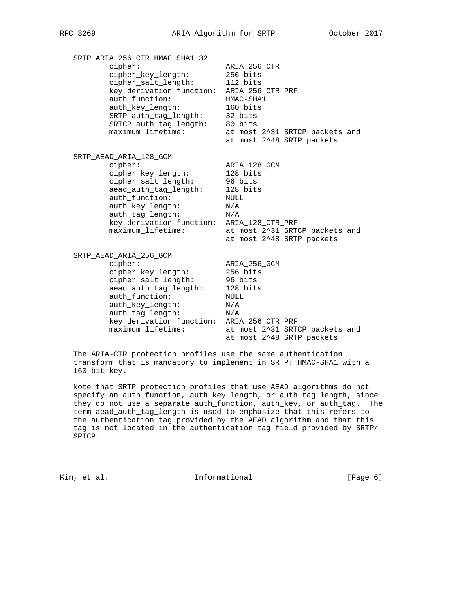SRTP\_ARIA\_256\_CTR\_HMAC\_SHA1\_32 cipher: ARIA\_256\_CTR cipher\_key\_length: 256 bits cipher\_salt\_length: 112 bits key derivation function: ARIA\_256\_CTR\_PRF auth\_function: HMAC-SHA1<br>auth\_key\_length: 160 bits auth\_key\_length: 160 bits SRTP auth\_tag\_length: 32 bits SRTCP auth\_tag\_length: 80 bits maximum\_lifetime: at most 2^31 SRTCP packets and at most 2^48 SRTP packets SRTP\_AEAD\_ARIA\_128\_GCM cipher: ARIA\_128\_GCM<br>cipher\_key\_length: 128 bits cipher\_key\_length: 128 bits cipher\_salt\_length: 96 bits aead\_auth\_tag\_length: 128 bits auth\_function: NULL auth\_key\_length: N/A auth\_tag\_length:  $N/A$  key derivation function: ARIA\_128\_CTR\_PRF maximum\_lifetime: at most 2^31 SRTCP packets and at most 2^48 SRTP packets SRTP\_AEAD\_ARIA\_256\_GCM cipher: ARIA\_256\_GCM cipher\_key\_length: 256 bits cipher\_salt\_length: 96 bits aead\_auth\_tag\_length: 128 bits auth\_function: NULL auth\_key\_length: N/A auth\_tag\_length: N/A key derivation function: ARIA\_256\_CTR\_PRF maximum\_lifetime: at most 2^31 SRTCP packets and

 The ARIA-CTR protection profiles use the same authentication transform that is mandatory to implement in SRTP: HMAC-SHA1 with a 160-bit key.

at most 2^48 SRTP packets

 Note that SRTP protection profiles that use AEAD algorithms do not specify an auth\_function, auth\_key\_length, or auth\_tag\_length, since they do not use a separate auth\_function, auth\_key, or auth\_tag. The term aead\_auth\_tag\_length is used to emphasize that this refers to the authentication tag provided by the AEAD algorithm and that this tag is not located in the authentication tag field provided by SRTP/ SRTCP.

Kim, et al. Informational [Page 6]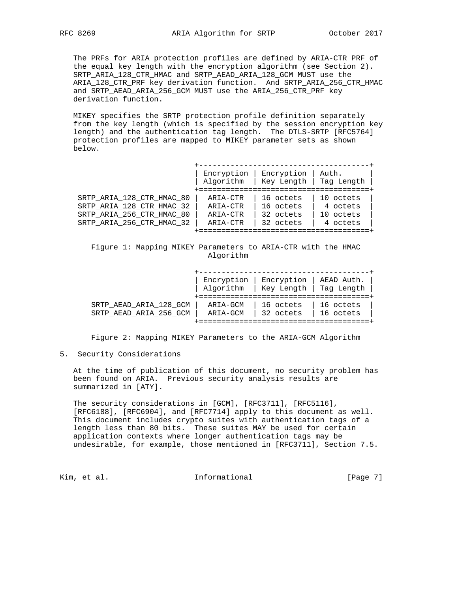The PRFs for ARIA protection profiles are defined by ARIA-CTR PRF of the equal key length with the encryption algorithm (see Section 2). SRTP\_ARIA\_128\_CTR\_HMAC and SRTP\_AEAD\_ARIA\_128\_GCM MUST use the ARIA\_128\_CTR\_PRF key derivation function. And SRTP\_ARIA\_256\_CTR\_HMAC and SRTP\_AEAD\_ARIA\_256\_GCM MUST use the ARIA\_256\_CTR\_PRF key derivation function.

 MIKEY specifies the SRTP protection profile definition separately from the key length (which is specified by the session encryption key length) and the authentication tag length. The DTLS-SRTP [RFC5764] protection profiles are mapped to MIKEY parameter sets as shown below.

|                           | Encryption | Encryption | Auth.      |
|---------------------------|------------|------------|------------|
|                           | Algorithm  | Key Length | Tag Length |
| SRTP ARIA 128 CTR HMAC 80 | ARIA-CTR   | 16 octets  | 10 octets  |
| SRTP ARIA 128 CTR HMAC 32 | ARIA-CTR   | 16 octets  | 4 octets   |
| SRTP ARIA 256 CTR HMAC 80 | ARIA-CTR   | 32 octets  | 10 octets  |
| SRTP ARIA 256 CTR HMAC 32 | ARIA-CTR   | 32 octets  | 4 octets   |

 Figure 1: Mapping MIKEY Parameters to ARIA-CTR with the HMAC Algorithm

|                        | Encryption | Encryption | AEAD Auth. |
|------------------------|------------|------------|------------|
|                        | Algorithm  | Key Length | Tag Length |
| SRTP AEAD ARIA 128 GCM | ARIA-GCM   | 16 octets  | 16 octets  |
| SRTP AEAD ARIA 256 GCM | ARIA-GCM   | 32 octets  | 16 octets  |

Figure 2: Mapping MIKEY Parameters to the ARIA-GCM Algorithm

5. Security Considerations

 At the time of publication of this document, no security problem has been found on ARIA. Previous security analysis results are summarized in [ATY].

 The security considerations in [GCM], [RFC3711], [RFC5116], [RFC6188], [RFC6904], and [RFC7714] apply to this document as well. This document includes crypto suites with authentication tags of a length less than 80 bits. These suites MAY be used for certain application contexts where longer authentication tags may be undesirable, for example, those mentioned in [RFC3711], Section 7.5.

Kim, et al. Informational [Page 7]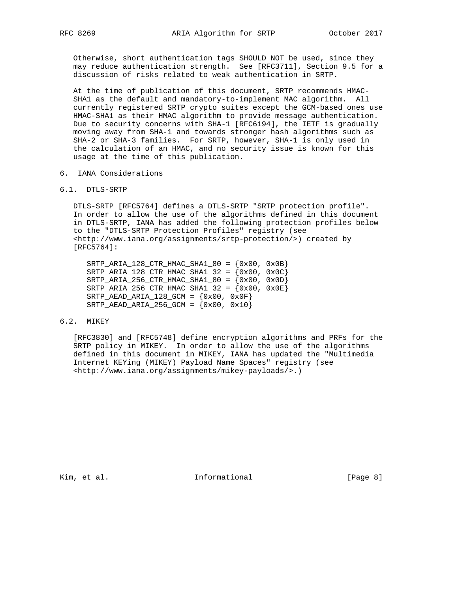Otherwise, short authentication tags SHOULD NOT be used, since they may reduce authentication strength. See [RFC3711], Section 9.5 for a discussion of risks related to weak authentication in SRTP.

 At the time of publication of this document, SRTP recommends HMAC- SHA1 as the default and mandatory-to-implement MAC algorithm. All currently registered SRTP crypto suites except the GCM-based ones use HMAC-SHA1 as their HMAC algorithm to provide message authentication. Due to security concerns with SHA-1 [RFC6194], the IETF is gradually moving away from SHA-1 and towards stronger hash algorithms such as SHA-2 or SHA-3 families. For SRTP, however, SHA-1 is only used in the calculation of an HMAC, and no security issue is known for this usage at the time of this publication.

- 6. IANA Considerations
- 6.1. DTLS-SRTP

 DTLS-SRTP [RFC5764] defines a DTLS-SRTP "SRTP protection profile". In order to allow the use of the algorithms defined in this document in DTLS-SRTP, IANA has added the following protection profiles below to the "DTLS-SRTP Protection Profiles" registry (see <http://www.iana.org/assignments/srtp-protection/>) created by [RFC5764]:

 $SRTP\_ARIA_128_CTR\_HMAC\_SHA1_80 = \{0x00, 0x0B\}$  $SRTP$  ARIA\_128\_CTR\_HMAC\_SHA1\_32 = {0x00, 0x0C} SRTP\_ARIA\_256\_CTR\_HMAC\_SHA1\_80 = {0x00, 0x0D} SRTP\_ARIA\_256\_CTR\_HMAC\_SHA1\_32 = {0x00, 0x0E} SRTP\_AEAD\_ARIA\_128\_GCM =  $\{0x00, 0x0F\}$  $SRTP_AEAD_ARIA_256_GCM = \{0x00, 0x10\}$ 

# 6.2. MIKEY

 [RFC3830] and [RFC5748] define encryption algorithms and PRFs for the SRTP policy in MIKEY. In order to allow the use of the algorithms defined in this document in MIKEY, IANA has updated the "Multimedia Internet KEYing (MIKEY) Payload Name Spaces" registry (see <http://www.iana.org/assignments/mikey-payloads/>.)

Kim, et al. 10 1nformational 1965 [Page 8]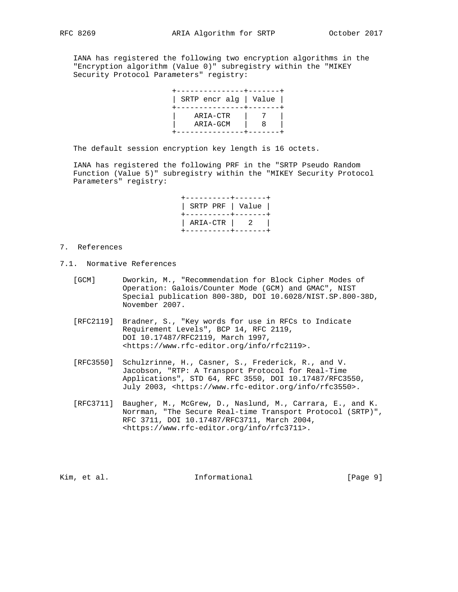IANA has registered the following two encryption algorithms in the "Encryption algorithm (Value 0)" subregistry within the "MIKEY Security Protocol Parameters" registry:

| SRTP encr alg   Value |  |
|-----------------------|--|
|                       |  |
| ARIA-CTR              |  |
| ARIA-GCM              |  |
|                       |  |

The default session encryption key length is 16 octets.

 IANA has registered the following PRF in the "SRTP Pseudo Random Function (Value 5)" subregistry within the "MIKEY Security Protocol Parameters" registry:

| +----------+------+                   |
|---------------------------------------|
| ARIA-CTR   2  <br>-----------+------+ |

#### 7. References

- 7.1. Normative References
	- [GCM] Dworkin, M., "Recommendation for Block Cipher Modes of Operation: Galois/Counter Mode (GCM) and GMAC", NIST Special publication 800-38D, DOI 10.6028/NIST.SP.800-38D, November 2007.
	- [RFC2119] Bradner, S., "Key words for use in RFCs to Indicate Requirement Levels", BCP 14, RFC 2119, DOI 10.17487/RFC2119, March 1997, <https://www.rfc-editor.org/info/rfc2119>.
	- [RFC3550] Schulzrinne, H., Casner, S., Frederick, R., and V. Jacobson, "RTP: A Transport Protocol for Real-Time Applications", STD 64, RFC 3550, DOI 10.17487/RFC3550, July 2003, <https://www.rfc-editor.org/info/rfc3550>.
	- [RFC3711] Baugher, M., McGrew, D., Naslund, M., Carrara, E., and K. Norrman, "The Secure Real-time Transport Protocol (SRTP)", RFC 3711, DOI 10.17487/RFC3711, March 2004, <https://www.rfc-editor.org/info/rfc3711>.

Kim, et al. 10 1nformational 1999 [Page 9]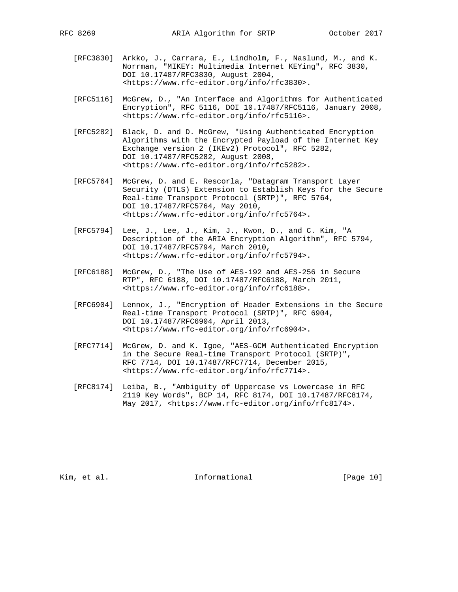- [RFC3830] Arkko, J., Carrara, E., Lindholm, F., Naslund, M., and K. Norrman, "MIKEY: Multimedia Internet KEYing", RFC 3830, DOI 10.17487/RFC3830, August 2004, <https://www.rfc-editor.org/info/rfc3830>.
- [RFC5116] McGrew, D., "An Interface and Algorithms for Authenticated Encryption", RFC 5116, DOI 10.17487/RFC5116, January 2008, <https://www.rfc-editor.org/info/rfc5116>.
- [RFC5282] Black, D. and D. McGrew, "Using Authenticated Encryption Algorithms with the Encrypted Payload of the Internet Key Exchange version 2 (IKEv2) Protocol", RFC 5282, DOI 10.17487/RFC5282, August 2008, <https://www.rfc-editor.org/info/rfc5282>.
- [RFC5764] McGrew, D. and E. Rescorla, "Datagram Transport Layer Security (DTLS) Extension to Establish Keys for the Secure Real-time Transport Protocol (SRTP)", RFC 5764, DOI 10.17487/RFC5764, May 2010, <https://www.rfc-editor.org/info/rfc5764>.
- [RFC5794] Lee, J., Lee, J., Kim, J., Kwon, D., and C. Kim, "A Description of the ARIA Encryption Algorithm", RFC 5794, DOI 10.17487/RFC5794, March 2010, <https://www.rfc-editor.org/info/rfc5794>.
- [RFC6188] McGrew, D., "The Use of AES-192 and AES-256 in Secure RTP", RFC 6188, DOI 10.17487/RFC6188, March 2011, <https://www.rfc-editor.org/info/rfc6188>.
- [RFC6904] Lennox, J., "Encryption of Header Extensions in the Secure Real-time Transport Protocol (SRTP)", RFC 6904, DOI 10.17487/RFC6904, April 2013, <https://www.rfc-editor.org/info/rfc6904>.
- [RFC7714] McGrew, D. and K. Igoe, "AES-GCM Authenticated Encryption in the Secure Real-time Transport Protocol (SRTP)", RFC 7714, DOI 10.17487/RFC7714, December 2015, <https://www.rfc-editor.org/info/rfc7714>.
- [RFC8174] Leiba, B., "Ambiguity of Uppercase vs Lowercase in RFC 2119 Key Words", BCP 14, RFC 8174, DOI 10.17487/RFC8174, May 2017, <https://www.rfc-editor.org/info/rfc8174>.

Kim, et al. 10 mm and 111 mm and 10 mm and 10 mm and 10 mm and 10 mm and 10 mm and 10 mm and 10 mm and 10 mm and 10 mm and 10 mm and 10 mm and 10 mm and 10 mm and 10 mm and 10 mm and 10 mm and 10 mm and 10 mm and 10 mm and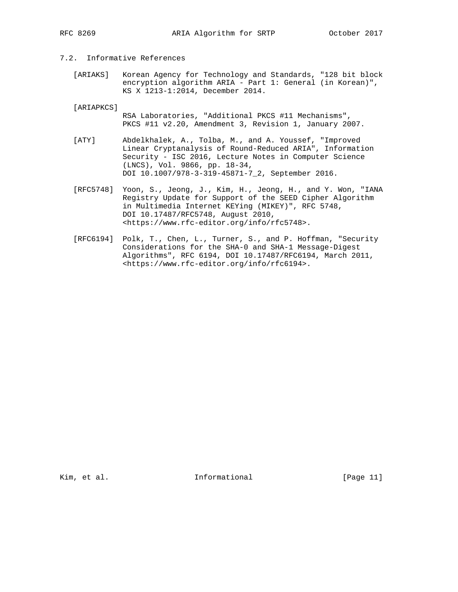## 7.2. Informative References

 [ARIAKS] Korean Agency for Technology and Standards, "128 bit block encryption algorithm ARIA - Part 1: General (in Korean)", KS X 1213-1:2014, December 2014.

[ARIAPKCS]

- RSA Laboratories, "Additional PKCS #11 Mechanisms", PKCS #11 v2.20, Amendment 3, Revision 1, January 2007.
- [ATY] Abdelkhalek, A., Tolba, M., and A. Youssef, "Improved Linear Cryptanalysis of Round-Reduced ARIA", Information Security - ISC 2016, Lecture Notes in Computer Science (LNCS), Vol. 9866, pp. 18-34, DOI 10.1007/978-3-319-45871-7\_2, September 2016.
- [RFC5748] Yoon, S., Jeong, J., Kim, H., Jeong, H., and Y. Won, "IANA Registry Update for Support of the SEED Cipher Algorithm in Multimedia Internet KEYing (MIKEY)", RFC 5748, DOI 10.17487/RFC5748, August 2010, <https://www.rfc-editor.org/info/rfc5748>.
- [RFC6194] Polk, T., Chen, L., Turner, S., and P. Hoffman, "Security Considerations for the SHA-0 and SHA-1 Message-Digest Algorithms", RFC 6194, DOI 10.17487/RFC6194, March 2011, <https://www.rfc-editor.org/info/rfc6194>.

Kim, et al. 10. Informational [Page 11]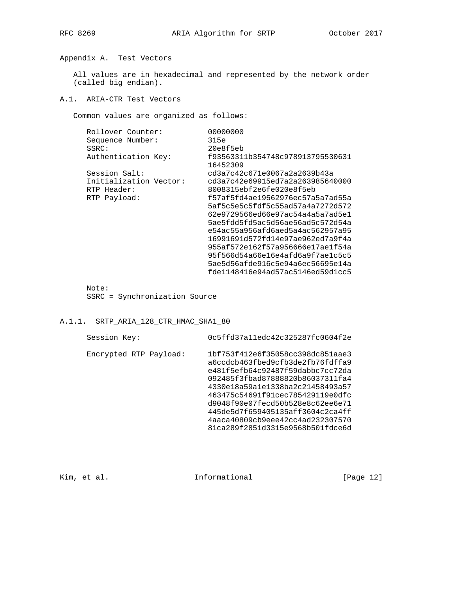Appendix A. Test Vectors

 All values are in hexadecimal and represented by the network order (called big endian).

### A.1. ARIA-CTR Test Vectors

Common values are organized as follows:

| Rollover Counter:      | 00000000                                     |
|------------------------|----------------------------------------------|
| Sequence Number:       | 315e                                         |
| SSRC:                  | 20e8f5eb                                     |
| Authentication Key:    | f93563311b354748c978913795530631<br>16452309 |
| Session Salt:          | cd3a7c42c671e0067a2a2639b43a                 |
| Initialization Vector: | cd3a7c42e69915ed7a2a263985640000             |
| RTP Header:            | 8008315ebf2e6fe020e8f5eb                     |
| RTP Payload:           | f57af5fd4ae19562976ec57a5a7ad55a             |
|                        | 5af5c5e5c5fdf5c55ad57a4a7272d572             |
|                        | 62e9729566ed66e97ac54a4a5a7ad5e1             |
|                        | 5ae5fdd5fd5ac5d56ae56ad5c572d54a             |
|                        | e54ac55a956afd6aed5a4ac562957a95             |
|                        | 16991691d572fd14e97ae962ed7a9f4a             |
|                        | 955af572e162f57a956666e17ae1f54a             |
|                        | 95f566d54a66e16e4afd6a9f7ae1c5c5             |
|                        | 5ae5d56afde916c5e94a6ec56695e14a             |
|                        | fde1148416e94ad57ac5146ed59d1cc5             |
|                        |                                              |

Note:

SSRC = Synchronization Source

# A.1.1. SRTP\_ARIA\_128\_CTR\_HMAC\_SHA1\_80

| Session Key:           | 0c5ffd37a11edc42c325287fc0604f2e                                                                                                                                                                                                                                                                                                                                     |
|------------------------|----------------------------------------------------------------------------------------------------------------------------------------------------------------------------------------------------------------------------------------------------------------------------------------------------------------------------------------------------------------------|
| Encrypted RTP Payload: | 1bf753f412e6f35058cc398dc851aae3<br>a6ccdcb463fbed9cfb3de2fb76fdffa9<br>e481f5efb64c92487f59dabbc7cc72da<br>092485f3fbad87888820b86037311fa4<br>4330e18a59a1e1338ba2c21458493a57<br>463475c54691f91cec785429119e0dfc<br>d9048f90e07fecd50b528e8c62ee6e71<br>445de5d7f659405135aff3604c2ca4ff<br>4aaca40809cb9eee42cc4ad232307570<br>81ca289f2851d3315e9568b501fdce6d |

Kim, et al. 10. Informational [Page 12]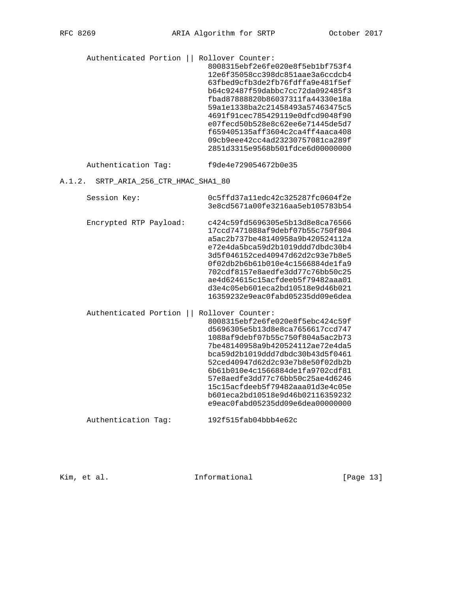Authenticated Portion || Rollover Counter: 8008315ebf2e6fe020e8f5eb1bf753f4 12e6f35058cc398dc851aae3a6ccdcb4 63fbed9cfb3de2fb76fdffa9e481f5ef b64c92487f59dabbc7cc72da092485f3 fbad87888820b86037311fa44330e18a 59a1e1338ba2c21458493a57463475c5 4691f91cec785429119e0dfcd9048f90 e07fecd50b528e8c62ee6e71445de5d7 f659405135aff3604c2ca4ff4aaca408 09cb9eee42cc4ad23230757081ca289f 2851d3315e9568b501fdce6d00000000

Authentication Tag: f9de4e729054672b0e35

### A.1.2. SRTP\_ARIA\_256\_CTR\_HMAC\_SHA1\_80

| Session Key:           | 0c5ffd37a11edc42c325287fc0604f2e<br>3e8cd5671a00fe3216aa5eb105783b54                                                                                                                                                                                                                                                                                                                                                          |
|------------------------|-------------------------------------------------------------------------------------------------------------------------------------------------------------------------------------------------------------------------------------------------------------------------------------------------------------------------------------------------------------------------------------------------------------------------------|
| Encrypted RTP Payload: | c424c59fd5696305e5b13d8e8ca76566<br>17ccd7471088af9debf07b55c750f804<br>a5ac2b737be48140958a9b420524112a<br>e72e4da5bca59d2b1019ddd7dbdc30b4<br>3d5f046152ced40947d62d2c93e7b8e5<br>0f02db2b6b61b010e4c1566884de1fa9<br>702cdf8157e8aedfe3dd77c76bb50c25<br>ae4d624615c15acfdeeb5f79482aaa01<br>d3e4c05eb601eca2bd10518e9d46b021<br>16359232e9eac0fabd05235dd09e6dea                                                          |
| Authenticated Portion  | Rollover Counter:<br>8008315ebf2e6fe020e8f5ebc424c59f<br>d5696305e5b13d8e8ca7656617ccd747<br>1088af9debf07b55c750f804a5ac2b73<br>7be48140958a9b420524112ae72e4da5<br>bca59d2b1019ddd7dbdc30b43d5f0461<br>52ced40947d62d2c93e7b8e50f02db2b<br>6b61b010e4c1566884de1fa9702cdf81<br>57e8aedfe3dd77c76bb50c25ae4d6246<br>15c15acfdeeb5f79482aaa01d3e4c05e<br>b601eca2bd10518e9d46b02116359232<br>e9eac0fabd05235dd09e6dea00000000 |
| Authentication Tag:    | 192f515fab04bbb4e62c                                                                                                                                                                                                                                                                                                                                                                                                          |

Kim, et al. 10. Informational [Page 13]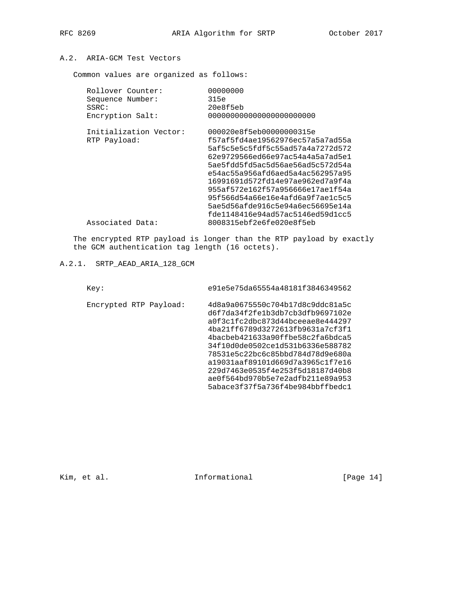# A.2. ARIA-GCM Test Vectors

Common values are organized as follows:

| Rollover Counter:      | 00000000                         |
|------------------------|----------------------------------|
| Sequence Number:       | 315e                             |
| SSRC:                  | 20e8f5eb                         |
| Encryption Salt:       |                                  |
| Initialization Vector: | 000020e8f5eb00000000315e         |
| RTP Payload:           | f57af5fd4ae19562976ec57a5a7ad55a |
|                        | 5af5c5e5c5fdf5c55ad57a4a7272d572 |
|                        | 62e9729566ed66e97ac54a4a5a7ad5e1 |
|                        | 5ae5fdd5fd5ac5d56ae56ad5c572d54a |
|                        | e54ac55a956afd6aed5a4ac562957a95 |
|                        | 16991691d572fd14e97ae962ed7a9f4a |
|                        | 955af572e162f57a956666e17ae1f54a |
|                        | 95f566d54a66e16e4afd6a9f7ae1c5c5 |
|                        | 5ae5d56afde916c5e94a6ec56695e14a |
|                        | fde1148416e94ad57ac5146ed59d1cc5 |
| Associated Data:       | 8008315ebf2e6fe020e8f5eb         |
|                        |                                  |

 The encrypted RTP payload is longer than the RTP payload by exactly the GCM authentication tag length (16 octets).

# A.2.1. SRTP\_AEAD\_ARIA\_128\_GCM

| Key:                   | e91e5e75da65554a48181f3846349562                                                                                                                                                                                                                                                                                                                                                                         |
|------------------------|----------------------------------------------------------------------------------------------------------------------------------------------------------------------------------------------------------------------------------------------------------------------------------------------------------------------------------------------------------------------------------------------------------|
| Encrypted RTP Payload: | 4d8a9a0675550c704b17d8c9ddc81a5c<br>d6f7da34f2fe1b3db7cb3dfb9697102e<br>a0f3c1fc2dbc873d44bceeae8e444297<br>4ba21ff6789d3272613fb9631a7cf3f1<br>4bacbeb421633a90ffbe58c2fa6bdca5<br>34f10d0de0502ce1d531b6336e588782<br>78531e5c22bc6c85bbd784d78d9e680a<br>a19031aaf89101d669d7a3965c1f7e16<br>229d7463e0535f4e253f5d18187d40b8<br>ae0f564bd970b5e7e2adfb211e89a953<br>5abace3f37f5a736f4be984bbffbedc1 |

Kim, et al. 1nformational [Page 14]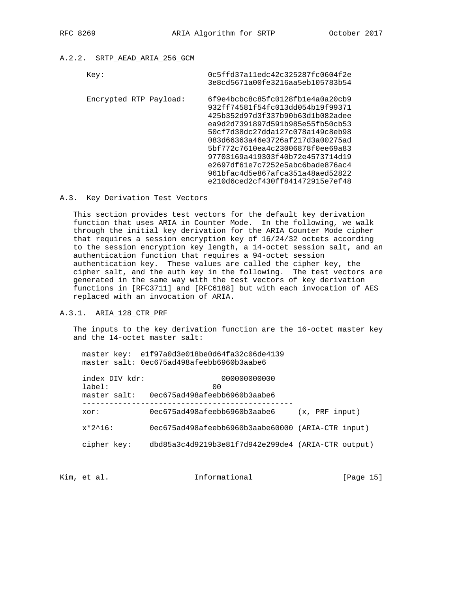# A.2.2. SRTP\_AEAD\_ARIA\_256\_GCM

| Key:                   | 0c5ffd37a11edc42c325287fc0604f2e<br>3e8cd5671a00fe3216aa5eb105783b54                                                                                                                                                                                                                                                                                                                                     |
|------------------------|----------------------------------------------------------------------------------------------------------------------------------------------------------------------------------------------------------------------------------------------------------------------------------------------------------------------------------------------------------------------------------------------------------|
| Encrypted RTP Payload: | 6f9e4bcbc8c85fc0128fb1e4a0a20cb9<br>932ff74581f54fc013dd054b19f99371<br>425b352d97d3f337b90b63d1b082adee<br>ea9d2d7391897d591b985e55fb50cb53<br>50cf7d38dc27dda127c078a149c8eb98<br>083d66363a46e3726af217d3a00275ad<br>5bf772c7610ea4c23006878f0ee69a83<br>97703169a419303f40b72e4573714d19<br>e2697df61e7c7252e5abc6bade876ac4<br>961bfac4d5e867afca351a48aed52822<br>e210d6ced2cf430ff841472915e7ef48 |

### A.3. Key Derivation Test Vectors

 This section provides test vectors for the default key derivation function that uses ARIA in Counter Mode. In the following, we walk through the initial key derivation for the ARIA Counter Mode cipher that requires a session encryption key of 16/24/32 octets according to the session encryption key length, a 14-octet session salt, and an authentication function that requires a 94-octet session authentication key. These values are called the cipher key, the cipher salt, and the auth key in the following. The test vectors are generated in the same way with the test vectors of key derivation functions in [RFC3711] and [RFC6188] but with each invocation of AES replaced with an invocation of ARIA.

## A.3.1. ARIA\_128\_CTR\_PRF

 The inputs to the key derivation function are the 16-octet master key and the 14-octet master salt:

 master key: e1f97a0d3e018be0d64fa32c06de4139 master salt: 0ec675ad498afeebb6960b3aabe6

| index DIV kdr:<br>$label:1}$<br>master salt: | 000000000000<br>00<br>0ec675ad498afeebb6960b3aabe6 |                |
|----------------------------------------------|----------------------------------------------------|----------------|
| xor:                                         | 0ec675ad498afeebb6960b3aabe6                       | (x, PRF input) |
| $x*2^16$ :                                   | 0ec675ad498afeebb6960b3aabe60000 (ARIA-CTR input)  |                |
| cipher key:                                  | dbd85a3c4d9219b3e81f7d942e299de4 (ARIA-CTR output) |                |

Kim, et al. 10. Informational [Page 15]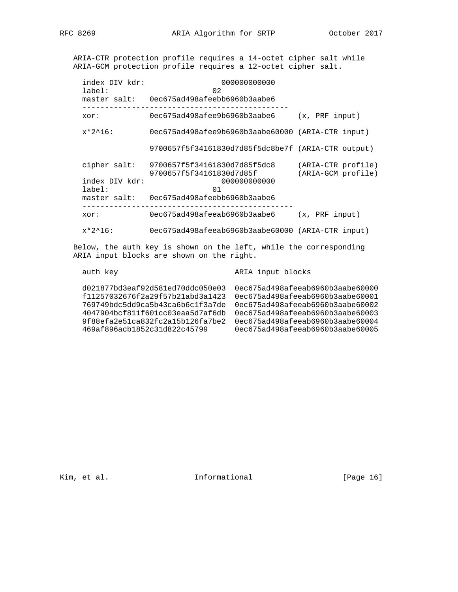ARIA-CTR protection profile requires a 14-octet cipher salt while ARIA-GCM protection profile requires a 12-octet cipher salt.

| index DIV kdr:<br>$label:1}$ : | 000000000000<br>02<br>master salt: 0ec675ad498afeebb6960b3aabe6 |                                          |
|--------------------------------|-----------------------------------------------------------------|------------------------------------------|
| xor:                           | 0ec675ad498afee9b6960b3aabe6                                    | (x, PRF input)                           |
| $x*2^16$ :                     | 0ec675ad498afee9b6960b3aabe60000 (ARIA-CTR input)               |                                          |
|                                | 9700657f5f34161830d7d85f5dc8be7f (ARIA-CTR output)              |                                          |
| cipher salt:                   | 9700657f5f34161830d7d85f5dc8<br>9700657f5f34161830d7d85f        | (ARIA-CTR profile)<br>(ARIA-GCM profile) |
| index DIV kdr:<br>label:       | 000000000000<br>01                                              |                                          |
|                                | master salt: 0ec675ad498afeebb6960b3aabe6                       |                                          |
| xor:                           | 0ec675ad498afeeab6960b3aabe6                                    | (x, PRF input)                           |
| $x*2^16$ :                     | 0ec675ad498afeeab6960b3aabe60000 (ARIA-CTR input)               |                                          |

 Below, the auth key is shown on the left, while the corresponding ARIA input blocks are shown on the right.

auth key **ARIA** input blocks

Kim, et al. 10 1nformational [Page 16]

d021877bd3eaf92d581ed70ddc050e03 0ec675ad498afeeab6960b3aabe60000 f11257032676f2a29f57b21abd3a1423 0ec675ad498afeeab6960b3aabe60001 769749bdc5dd9ca5b43ca6b6c1f3a7de 0ec675ad498afeeab6960b3aabe60002 4047904bcf811f601cc03eaa5d7af6db 0ec675ad498afeeab6960b3aabe60003 9f88efa2e51ca832fc2a15b126fa7be2 0ec675ad498afeeab6960b3aabe60004 469af896acb1852c31d822c45799 0ec675ad498afeeab6960b3aabe60005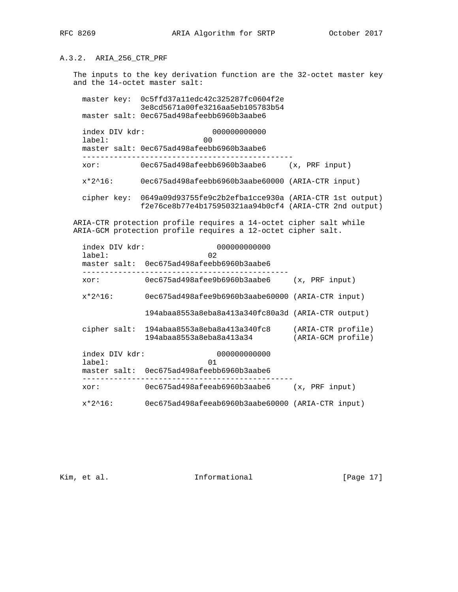# A.3.2. ARIA\_256\_CTR\_PRF

 The inputs to the key derivation function are the 32-octet master key and the 14-octet master salt:

 master key: 0c5ffd37a11edc42c325287fc0604f2e 3e8cd5671a00fe3216aa5eb105783b54 master salt: 0ec675ad498afeebb6960b3aabe6

 index DIV kdr: 000000000000 label: 00 master salt: 0ec675ad498afeebb6960b3aabe6 ---------------------------------------------- xor: 0ec675ad498afeebb6960b3aabe6 (x, PRF input) x\*2^16: 0ec675ad498afeebb6960b3aabe60000 (ARIA-CTR input) cipher key: 0649a09d93755fe9c2b2efba1cce930a (ARIA-CTR 1st output)

f2e76ce8b77e4b175950321aa94b0cf4 (ARIA-CTR 2nd output)

 ARIA-CTR protection profile requires a 14-octet cipher salt while ARIA-GCM protection profile requires a 12-octet cipher salt.

| index DIV kdr:<br>label: | 000000000000<br>02                                       |                                          |
|--------------------------|----------------------------------------------------------|------------------------------------------|
|                          | master salt: 0ec675ad498afeebb6960b3aabe6                |                                          |
| xor:                     | 0ec675ad498afee9b6960b3aabe6                             | (x, PRF input)                           |
| $x*2^16$ :               | 0ec675ad498afee9b6960b3aabe60000 (ARIA-CTR input)        |                                          |
|                          | 194abaa8553a8eba8a413a340fc80a3d (ARIA-CTR output)       |                                          |
| cipher salt:             | 194abaa8553a8eba8a413a340fc8<br>194abaa8553a8eba8a413a34 | (ARIA-CTR profile)<br>(ARIA-GCM profile) |
| index DIV kdr:<br>label: | 000000000000<br>01                                       |                                          |
|                          | master salt: 0ec675ad498afeebb6960b3aabe6                |                                          |
| xor:                     | 0ec675ad498afeeab6960b3aabe6                             | (x, PRF input)                           |
| $x*2^16$ :               | 0ec675ad498afeeab6960b3aabe60000 (ARIA-CTR input)        |                                          |

Kim, et al. 10. Informational [Page 17]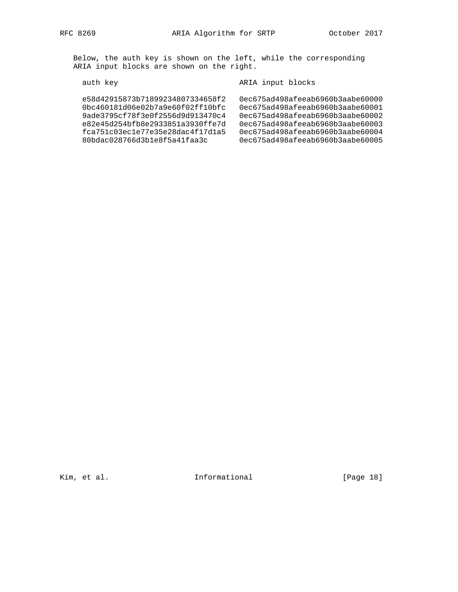Below, the auth key is shown on the left, while the corresponding ARIA input blocks are shown on the right.

auth key authorization of the Maria input blocks

| e58d42915873b71899234807334658f2<br>0bc460181d06e02b7a9e60f02ff10bfc | 0ec675ad498afeeab6960b3aabe60000<br>0ec675ad498afeeab6960b3aabe60001 |
|----------------------------------------------------------------------|----------------------------------------------------------------------|
| 9ade3795cf78f3e0f2556d9d913470c4<br>e82e45d254bfb8e2933851a3930ffe7d | 0ec675ad498afeeab6960b3aabe60002<br>0ec675ad498afeeab6960b3aabe60003 |
| fca751c03ec1e77e35e28dac4f17d1a5<br>80bdac028766d3b1e8f5a41faa3c     | 0ec675ad498afeeab6960b3aabe60004<br>0ec675ad498afeeab6960b3aabe60005 |

Kim, et al. Informational [Page 18]